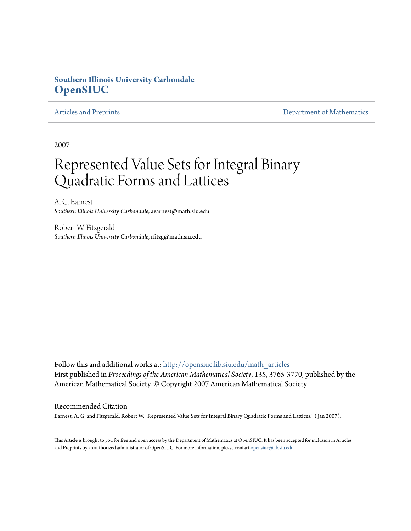# **Southern Illinois University Carbondale [OpenSIUC](http://opensiuc.lib.siu.edu?utm_source=opensiuc.lib.siu.edu%2Fmath_articles%2F20&utm_medium=PDF&utm_campaign=PDFCoverPages)**

[Articles and Preprints](http://opensiuc.lib.siu.edu/math_articles?utm_source=opensiuc.lib.siu.edu%2Fmath_articles%2F20&utm_medium=PDF&utm_campaign=PDFCoverPages) **[Department of Mathematics](http://opensiuc.lib.siu.edu/math?utm_source=opensiuc.lib.siu.edu%2Fmath_articles%2F20&utm_medium=PDF&utm_campaign=PDFCoverPages)** 

2007

# Represented Value Sets for Integral Binary Quadratic Forms and Lattices

A. G. Earnest *Southern Illinois University Carbondale*, aearnest@math.siu.edu

Robert W. Fitzgerald *Southern Illinois University Carbondale*, rfitzg@math.siu.edu

Follow this and additional works at: [http://opensiuc.lib.siu.edu/math\\_articles](http://opensiuc.lib.siu.edu/math_articles?utm_source=opensiuc.lib.siu.edu%2Fmath_articles%2F20&utm_medium=PDF&utm_campaign=PDFCoverPages) First published in *Proceedings of the American Mathematical Society*, 135, 3765-3770, published by the American Mathematical Society. © Copyright 2007 American Mathematical Society

# Recommended Citation

Earnest, A. G. and Fitzgerald, Robert W. "Represented Value Sets for Integral Binary Quadratic Forms and Lattices." ( Jan 2007).

This Article is brought to you for free and open access by the Department of Mathematics at OpenSIUC. It has been accepted for inclusion in Articles and Preprints by an authorized administrator of OpenSIUC. For more information, please contact [opensiuc@lib.siu.edu](mailto:opensiuc@lib.siu.edu).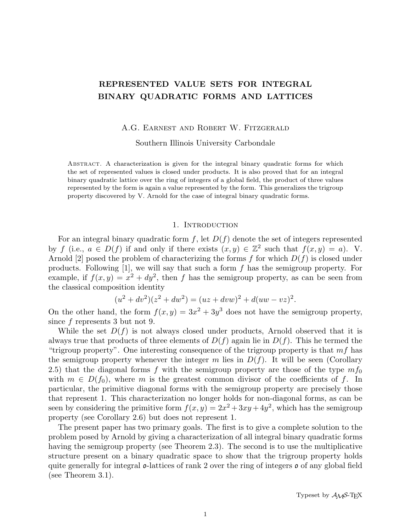# REPRESENTED VALUE SETS FOR INTEGRAL BINARY QUADRATIC FORMS AND LATTICES

A.G. Earnest and Robert W. Fitzgerald

Southern Illinois University Carbondale

ABSTRACT. A characterization is given for the integral binary quadratic forms for which the set of represented values is closed under products. It is also proved that for an integral binary quadratic lattice over the ring of integers of a global field, the product of three values represented by the form is again a value represented by the form. This generalizes the trigroup property discovered by V. Arnold for the case of integral binary quadratic forms.

## 1. INTRODUCTION

For an integral binary quadratic form  $f$ , let  $D(f)$  denote the set of integers represented by f (i.e.,  $a \in D(f)$  if and only if there exists  $(x, y) \in \mathbb{Z}^2$  such that  $f(x, y) = a$ ). V. Arnold [2] posed the problem of characterizing the forms f for which  $D(f)$  is closed under products. Following  $[1]$ , we will say that such a form  $f$  has the semigroup property. For example, if  $f(x, y) = x^2 + dy^2$ , then f has the semigroup property, as can be seen from the classical composition identity

$$
(u2 + dv2)(z2 + dw2) = (uz + dww)2 + d(uw - vz)2.
$$

On the other hand, the form  $f(x, y) = 3x^2 + 3y^3$  does not have the semigroup property, since f represents 3 but not 9.

While the set  $D(f)$  is not always closed under products, Arnold observed that it is always true that products of three elements of  $D(f)$  again lie in  $D(f)$ . This he termed the "trigroup property". One interesting consequence of the trigroup property is that  $mf$  has the semigroup property whenever the integer m lies in  $D(f)$ . It will be seen (Corollary 2.5) that the diagonal forms f with the semigroup property are those of the type  $m f_0$ with  $m \in D(f_0)$ , where m is the greatest common divisor of the coefficients of f. In particular, the primitive diagonal forms with the semigroup property are precisely those that represent 1. This characterization no longer holds for non-diagonal forms, as can be seen by considering the primitive form  $f(x, y) = 2x^2 + 3xy + 4y^2$ , which has the semigroup property (see Corollary 2.6) but does not represent 1.

The present paper has two primary goals. The first is to give a complete solution to the problem posed by Arnold by giving a characterization of all integral binary quadratic forms having the semigroup property (see Theorem 2.3). The second is to use the multiplicative structure present on a binary quadratic space to show that the trigroup property holds quite generally for integral  $\mathfrak{o}\text{-lattices}$  of rank 2 over the ring of integers  $\mathfrak{o}$  of any global field (see Theorem 3.1).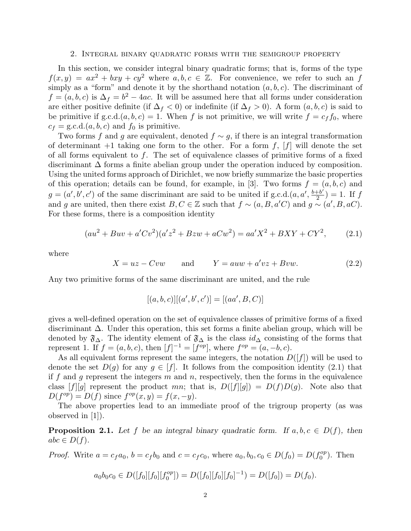#### 2. Integral binary quadratic forms with the semigroup property

In this section, we consider integral binary quadratic forms; that is, forms of the type  $f(x, y) = ax^2 + bxy + cy^2$  where  $a, b, c \in \mathbb{Z}$ . For convenience, we refer to such an f simply as a "form" and denote it by the shorthand notation  $(a, b, c)$ . The discriminant of  $f = (a, b, c)$  is  $\Delta_f = b^2 - 4ac$ . It will be assumed here that all forms under consideration are either positive definite (if  $\Delta_f < 0$ ) or indefinite (if  $\Delta_f > 0$ ). A form  $(a, b, c)$  is said to be primitive if  $g.c.d.(a, b, c) = 1$ . When f is not primitive, we will write  $f = c_f f_0$ , where  $c_f = \text{g.c.d.}(a, b, c)$  and  $f_0$  is primitive.

Two forms f and g are equivalent, denoted  $f \sim g$ , if there is an integral transformation of determinant  $+1$  taking one form to the other. For a form f, [f] will denote the set of all forms equivalent to  $f$ . The set of equivalence classes of primitive forms of a fixed discriminant  $\Delta$  forms a finite abelian group under the operation induced by composition. Using the united forms approach of Dirichlet, we now briefly summarize the basic properties of this operation; details can be found, for example, in [3]. Two forms  $f = (a, b, c)$  and  $g = (a', b', c')$  of the same discriminant are said to be united if g.c.d. $(a, a', \frac{b+b'}{2})$  $(\frac{+b'}{2}) = 1$ . If f and g are united, then there exist  $B, C \in \mathbb{Z}$  such that  $f \sim (a, B, a'C)$  and  $g \sim (a', B, aC)$ . For these forms, there is a composition identity

$$
(au2 + Buv + a'Cv2)(a'z2 + Bzw + aCw2) = aa'X2 + BXY + CY2,
$$
 (2.1)

where

$$
X = uz - Cvw \qquad \text{and} \qquad Y = auw + a'vz + Bvw. \tag{2.2}
$$

Any two primitive forms of the same discriminant are united, and the rule

$$
[(a, b, c)][(a', b', c')] = [(aa', B, C)]
$$

gives a well-defined operation on the set of equivalence classes of primitive forms of a fixed discriminant ∆. Under this operation, this set forms a finite abelian group, which will be denoted by  $\mathfrak{F}_{\Delta}$ . The identity element of  $\mathfrak{F}_{\Delta}$  is the class  $id_{\Delta}$  consisting of the forms that represent 1. If  $f = (a, b, c)$ , then  $[f]^{-1} = [f^{op}]$ , where  $f^{op} = (a, -b, c)$ .

As all equivalent forms represent the same integers, the notation  $D([f])$  will be used to denote the set  $D(g)$  for any  $g \in [f]$ . It follows from the composition identity (2.1) that if f and g represent the integers  $m$  and  $n$ , respectively, then the forms in the equivalence class  $[f][g]$  represent the product mn; that is,  $D([f][g]) = D(f)D(g)$ . Note also that  $D(f^{op}) = D(f)$  since  $f^{op}(x, y) = f(x, -y)$ .

The above properties lead to an immediate proof of the trigroup property (as was observed in [1]).

**Proposition 2.1.** Let f be an integral binary quadratic form. If  $a, b, c \in D(f)$ , then  $abc \in D(f)$ .

*Proof.* Write  $a = c_f a_0$ ,  $b = c_f b_0$  and  $c = c_f c_0$ , where  $a_0, b_0, c_0 \in D(f_0) = D(f_0^{op})$  $\binom{op}{0}$ . Then

$$
a_0b_0c_0 \in D([f_0][f_0][f_0^{\circ p}]) = D([f_0][f_0][f_0]^{-1}) = D([f_0]) = D(f_0).
$$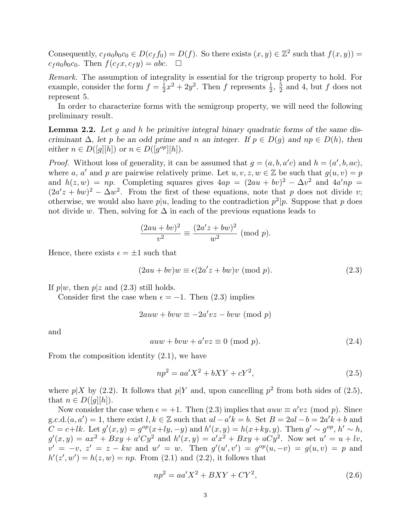Consequently,  $c_f a_0 b_0 c_0 \in D(c_f f_0) = D(f)$ . So there exists  $(x, y) \in \mathbb{Z}^2$  such that  $f(x, y) =$  $c_f a_0 b_0 c_0$ . Then  $f(c_f x, c_f y) = abc$ .  $\Box$ 

Remark. The assumption of integrality is essential for the trigroup property to hold. For example, consider the form  $f = \frac{1}{2}$  $\frac{1}{2}x^2 + 2y^2$ . Then f represents  $\frac{1}{2}$ ,  $\frac{5}{2}$  $\frac{5}{2}$  and 4, but f does not represent 5.

In order to characterize forms with the semigroup property, we will need the following preliminary result.

**Lemma 2.2.** Let q and h be primitive integral binary quadratic forms of the same discriminant  $\Delta$ , let p be an odd prime and n an integer. If  $p \in D(q)$  and  $np \in D(h)$ , then either  $n \in D([g][h])$  or  $n \in D([g^{op}][h]).$ 

*Proof.* Without loss of generality, it can be assumed that  $g = (a, b, a'c)$  and  $h = (a', b, ac)$ , where a, a' and p are pairwise relatively prime. Let  $u, v, z, w \in \mathbb{Z}$  be such that  $g(u, v) = p$ and  $h(z, w) = np$ . Completing squares gives  $4ap = (2au + bv)^2 - \Delta v^2$  and  $4a'np =$  $(2a'z + bw)^2 - \Delta w^2$ . From the first of these equations, note that p does not divide v; otherwise, we would also have  $p|u$ , leading to the contradiction  $p^2|p$ . Suppose that p does not divide w. Then, solving for  $\Delta$  in each of the previous equations leads to

$$
\frac{(2au + bv)^2}{v^2} \equiv \frac{(2a'z + bw)^2}{w^2} \text{ (mod } p).
$$

Hence, there exists  $\epsilon = \pm 1$  such that

$$
(2au + bv)w \equiv \epsilon (2a'z + bw)v \pmod{p}.
$$
 (2.3)

If  $p|w$ , then  $p|z$  and  $(2.3)$  still holds.

Consider first the case when  $\epsilon = -1$ . Then (2.3) implies

$$
2auw + bvw \equiv -2a'vz - bw \pmod{p}
$$

and

$$
auw + bvw + a'vz \equiv 0 \pmod{p}.
$$
 (2.4)

From the composition identity (2.1), we have

$$
np^2 = aa'X^2 + bXY + cY^2,
$$
\n(2.5)

where  $p|X$  by (2.2). It follows that  $p|Y$  and, upon cancelling  $p^2$  from both sides of (2.5), that  $n \in D([q][h])$ .

Now consider the case when  $\epsilon = +1$ . Then (2.3) implies that  $auw \equiv a'vz \pmod{p}$ . Since g.c.d. $(a, a') = 1$ , there exist  $l, k \in \mathbb{Z}$  such that  $al - a'k = b$ . Set  $B = 2al - b = 2a'k + b$  and  $C = c + lk$ . Let  $g'(x, y) = g^{op}(x + ly, -y)$  and  $h'(x, y) = h(x + ky, y)$ . Then  $g' \sim g^{op}$ ,  $h' \sim h$ ,  $g'(x,y) = ax^2 + Bxy + a'Cy^2$  and  $h'(x,y) = a'x^2 + Bxy + aCy^2$ . Now set  $u' = u + iv$ ,  $v' = -v, z' = z - kw$  and  $w' = w$ . Then  $g'(u', v') = g^{op}(u, -v) = g(u, v) = p$  and  $h'(z', w') = h(z, w) = np$ . From (2.1) and (2.2), it follows that

$$
np^2 = aa'X^2 + BXY + CY^2,
$$
\n
$$
(2.6)
$$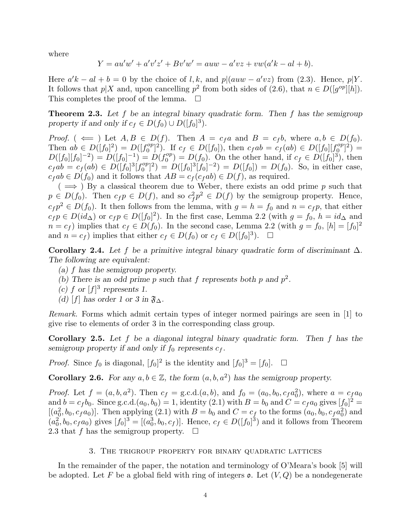where

$$
Y = au'w' + a'v'z' + Bv'w' = auw - a'vz + vw(a'k - al + b).
$$

Here  $a'k - al + b = 0$  by the choice of l, k, and  $p|(auw - a'vz)$  from (2.3). Hence,  $p|Y$ . It follows that  $p|X$  and, upon cancelling  $p^2$  from both sides of (2.6), that  $n \in D([q^{op}][h])$ . This completes the proof of the lemma.  $\Box$ 

**Theorem 2.3.** Let f be an integral binary quadratic form. Then f has the semigroup property if and only if  $c_f \in D(f_0) \cup D([f_0]^3)$ .

*Proof.* (  $\Leftarrow$  ) Let  $A, B \in D(f)$ . Then  $A = c_f a$  and  $B = c_f b$ , where  $a, b \in D(f_0)$ . Then  $ab \in D([f_0]^2) = D([f_0^{op}])$  $C_0^{op}$ <sup>2</sup>). If  $c_f \in D([f_0])$ , then  $c_fab = c_f(ab) \in D([f_0][f_0^{op}])$  $\binom{op}{0}^2 =$  $D([f_0][f_0]^{-2}) = D([f_0]^{-1}) = D(f_0^{op})$  $C_0^{op}$  =  $D(f_0)$ . On the other hand, if  $c_f \in D([f_0]^3)$ , then  $c_fab = c_f(ab) \in D([f_0]^3[f_0^{op}]$  $D^{op}_{0} [B] = D([f_0]^3 [f_0]^{-2}) = D([f_0]) = D(f_0)$ . So, in either case,  $c_f ab \in D(f_0)$  and it follows that  $AB = c_f(c_f ab) \in D(f)$ , as required.

 $($   $\implies$   $)$  By a classical theorem due to Weber, there exists an odd prime p such that  $p \in D(f_0)$ . Then  $c_f p \in D(f)$ , and so  $c_f^2 p^2 \in D(f)$  by the semigroup property. Hence,  $c_f p^2 \in D(f_0)$ . It then follows from the lemma, with  $g = h = f_0$  and  $n = c_f p$ , that either  $c_f p \in D(id_{\Delta})$  or  $c_f p \in D([f_0]^2)$ . In the first case, Lemma 2.2 (with  $g = f_0$ ,  $h = id_{\Delta}$  and  $n = c_f$ ) implies that  $c_f \in D(f_0)$ . In the second case, Lemma 2.2 (with  $g = f_0$ ,  $[h] = [f_0]^2$ and  $n = c_f$ ) implies that either  $c_f \in D(f_0)$  or  $c_f \in D([f_0]^3)$  $\Box$ 

Corollary 2.4. Let f be a primitive integral binary quadratic form of discriminant  $\Delta$ . The following are equivalent:

- (a) f has the semigroup property.
- (b) There is an odd prime p such that f represents both p and  $p^2$ .
- (c) f or  $[f]^3$  represents 1.
- (d) [f] has order 1 or 3 in  $\mathfrak{F}_{\Delta}$ .

Remark. Forms which admit certain types of integer normed pairings are seen in [1] to give rise to elements of order 3 in the corresponding class group.

**Corollary 2.5.** Let  $f$  be a diagonal integral binary quadratic form. Then  $f$  has the semigroup property if and only if  $f_0$  represents  $c_f$ .

*Proof.* Since  $f_0$  is diagonal,  $[f_0]^2$  is the identity and  $[f_0]^3 = [f_0]$ .  $\Box$ 

**Corollary 2.6.** For any  $a, b \in \mathbb{Z}$ , the form  $(a, b, a^2)$  has the semigroup property.

*Proof.* Let  $f = (a, b, a^2)$ . Then  $c_f = g.c.d.(a, b)$ , and  $f_0 = (a_0, b_0, c_f a_0^2)$ , where  $a = c_f a_0$ and  $b = c_f b_0$ . Since g.c.d. $(a_0, b_0) = 1$ , identity  $(2.1)$  with  $B = b_0$  and  $C = c_f a_0$  gives  $[f_0]^2 =$  $[(a_0^2, b_0, c_f a_0)]$ . Then applying (2.1) with  $B = b_0$  and  $C = c_f$  to the forms  $(a_0, b_0, c_f a_0^2)$  and  $(a_0^2, b_0, c_f a_0)$  gives  $[f_0]^3 = [(a_0^3, b_0, c_f)]$ . Hence,  $c_f \in D([f_0]^3)$  and it follows from Theorem 2.3 that f has the semigroup property.  $\Box$ 

# 3. The trigroup property for binary quadratic lattices

In the remainder of the paper, the notation and terminology of O'Meara's book [5] will be adopted. Let F be a global field with ring of integers  $\mathfrak{o}$ . Let  $(V, Q)$  be a nondegenerate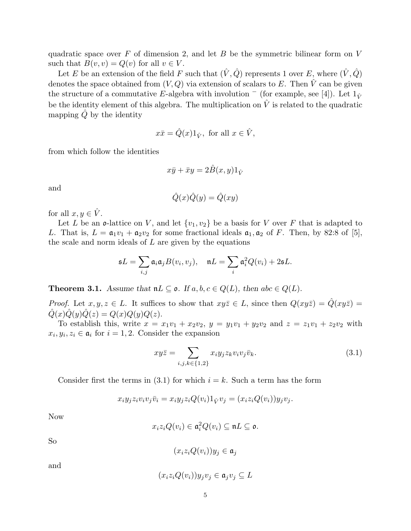quadratic space over  $F$  of dimension 2, and let  $B$  be the symmetric bilinear form on  $V$ such that  $B(v, v) = Q(v)$  for all  $v \in V$ .

Let  $E$  be an extension of the field  $F$  such that  $(\hat{V},\hat{Q})$  represents  $1$  over  $E,$  where  $(\hat{V},\hat{Q})$ denotes the space obtained from  $(V, Q)$  via extension of scalars to E. Then  $\hat{V}$  can be given the structure of a commutative E-algebra with involution  $\bar{ }$  (for example, see [4]). Let  $1_{\hat{V}}$ be the identity element of this algebra. The multiplication on  $\hat{V}$  is related to the quadratic mapping  $\ddot{Q}$  by the identity

$$
x\bar{x} = \hat{Q}(x)1_{\hat{V}}, \text{ for all } x \in \hat{V},
$$

from which follow the identities

$$
x\bar{y} + \bar{x}y = 2\hat{B}(x, y)1_{\hat{V}}
$$

and

$$
\hat{Q}(x)\hat{Q}(y) = \hat{Q}(xy)
$$

for all  $x, y \in \hat{V}$ .

Let L be an o-lattice on V, and let  $\{v_1, v_2\}$  be a basis for V over F that is adapted to L. That is,  $L = \mathfrak{a}_1 v_1 + \mathfrak{a}_2 v_2$  for some fractional ideals  $\mathfrak{a}_1, \mathfrak{a}_2$  of F. Then, by 82:8 of [5], the scale and norm ideals of  $L$  are given by the equations

$$
\mathfrak{s}L = \sum_{i,j} \mathfrak{a}_i \mathfrak{a}_j B(v_i, v_j), \quad \mathfrak{n}L = \sum_i \mathfrak{a}_i^2 Q(v_i) + 2\mathfrak{s}L.
$$

**Theorem 3.1.** Assume that  $nL \subseteq \mathfrak{o}$ . If  $a, b, c \in Q(L)$ , then  $abc \in Q(L)$ .

*Proof.* Let  $x, y, z \in L$ . It suffices to show that  $xy\overline{z} \in L$ , since then  $Q(xy\overline{z}) = \hat{Q}(xy\overline{z}) =$  $\hat{Q}(x)\hat{Q}(y)\hat{Q}(z) = Q(x)Q(y)Q(z).$ 

To establish this, write  $x = x_1v_1 + x_2v_2$ ,  $y = y_1v_1 + y_2v_2$  and  $z = z_1v_1 + z_2v_2$  with  $x_i, y_i, z_i \in \mathfrak{a}_i$  for  $i = 1, 2$ . Consider the expansion

$$
xy\overline{z} = \sum_{i,j,k \in \{1,2\}} x_i y_j z_k v_i v_j \overline{v}_k.
$$
\n(3.1)

Consider first the terms in (3.1) for which  $i = k$ . Such a term has the form

$$
x_i y_j z_i v_i v_j \overline{v}_i = x_i y_j z_i Q(v_i) 1_{\hat{V}} v_j = (x_i z_i Q(v_i)) y_j v_j.
$$

Now

$$
x_i z_i Q(v_i) \in \mathfrak{a}_i^2 Q(v_i) \subseteq \mathfrak{n} L \subseteq \mathfrak{o}.
$$

So

$$
(x_i z_i Q(v_i)) y_j \in \mathfrak{a}_j
$$

and

$$
(x_i z_i Q(v_i)) y_j v_j \in \mathfrak{a}_j v_j \subseteq L
$$